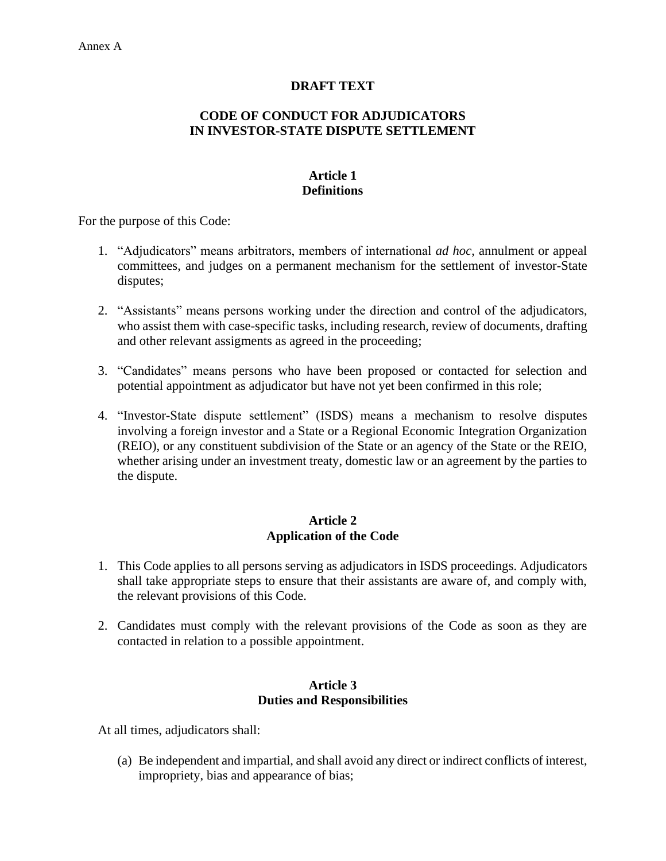# **DRAFT TEXT**

## **CODE OF CONDUCT FOR ADJUDICATORS IN INVESTOR-STATE DISPUTE SETTLEMENT**

# **Article 1 Definitions**

For the purpose of this Code:

- 1. "Adjudicators" means arbitrators, members of international *ad hoc*, annulment or appeal committees, and judges on a permanent mechanism for the settlement of investor-State disputes;
- 2. "Assistants" means persons working under the direction and control of the adjudicators, who assist them with case-specific tasks, including research, review of documents, drafting and other relevant assigments as agreed in the proceeding;
- 3. "Candidates" means persons who have been proposed or contacted for selection and potential appointment as adjudicator but have not yet been confirmed in this role;
- 4. "Investor-State dispute settlement" (ISDS) means a mechanism to resolve disputes involving a foreign investor and a State or a Regional Economic Integration Organization (REIO), or any constituent subdivision of the State or an agency of the State or the REIO, whether arising under an investment treaty, domestic law or an agreement by the parties to the dispute.

## **Article 2 Application of the Code**

- 1. This Code applies to all persons serving as adjudicators in ISDS proceedings. Adjudicators shall take appropriate steps to ensure that their assistants are aware of, and comply with, the relevant provisions of this Code.
- 2. Candidates must comply with the relevant provisions of the Code as soon as they are contacted in relation to a possible appointment.

#### **Article 3 Duties and Responsibilities**

At all times, adjudicators shall:

(a) Be independent and impartial, and shall avoid any direct or indirect conflicts of interest, impropriety, bias and appearance of bias;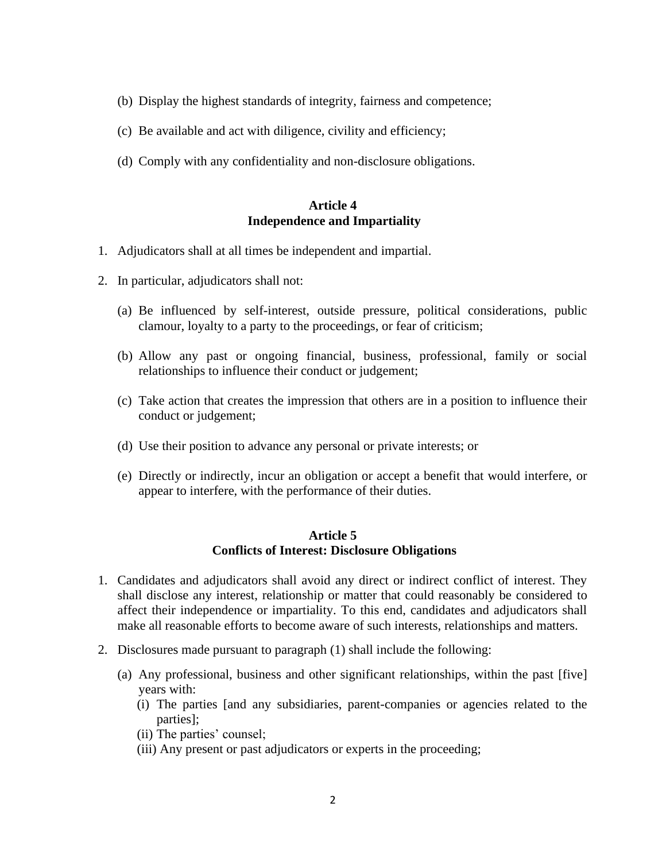- (b) Display the highest standards of integrity, fairness and competence;
- (c) Be available and act with diligence, civility and efficiency;
- (d) Comply with any confidentiality and non-disclosure obligations.

#### **Article 4 Independence and Impartiality**

- 1. Adjudicators shall at all times be independent and impartial.
- 2. In particular, adjudicators shall not:
	- (a) Be influenced by self-interest, outside pressure, political considerations, public clamour, loyalty to a party to the proceedings, or fear of criticism;
	- (b) Allow any past or ongoing financial, business, professional, family or social relationships to influence their conduct or judgement;
	- (c) Take action that creates the impression that others are in a position to influence their conduct or judgement;
	- (d) Use their position to advance any personal or private interests; or
	- (e) Directly or indirectly, incur an obligation or accept a benefit that would interfere, or appear to interfere, with the performance of their duties.

#### **Article 5 Conflicts of Interest: Disclosure Obligations**

- 1. Candidates and adjudicators shall avoid any direct or indirect conflict of interest. They shall disclose any interest, relationship or matter that could reasonably be considered to affect their independence or impartiality. To this end, candidates and adjudicators shall make all reasonable efforts to become aware of such interests, relationships and matters.
- 2. Disclosures made pursuant to paragraph (1) shall include the following:
	- (a) Any professional, business and other significant relationships, within the past [five] years with:
		- (i) The parties [and any subsidiaries, parent-companies or agencies related to the parties];
		- (ii) The parties' counsel;
		- (iii) Any present or past adjudicators or experts in the proceeding;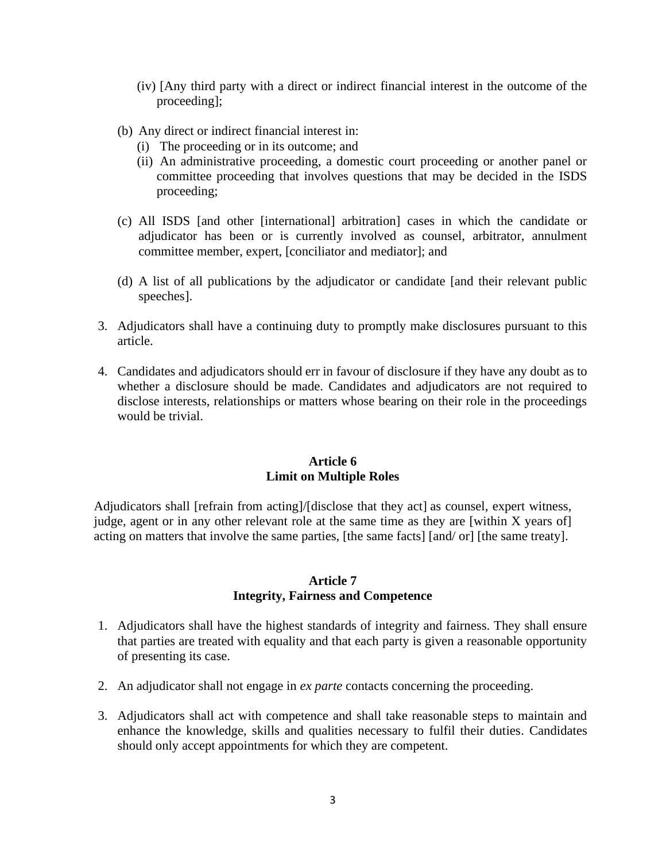- (iv) [Any third party with a direct or indirect financial interest in the outcome of the proceeding];
- (b) Any direct or indirect financial interest in:
	- (i) The proceeding or in its outcome; and
	- (ii) An administrative proceeding, a domestic court proceeding or another panel or committee proceeding that involves questions that may be decided in the ISDS proceeding;
- (c) All ISDS [and other [international] arbitration] cases in which the candidate or adjudicator has been or is currently involved as counsel, arbitrator, annulment committee member, expert, [conciliator and mediator]; and
- (d) A list of all publications by the adjudicator or candidate [and their relevant public speeches].
- 3. Adjudicators shall have a continuing duty to promptly make disclosures pursuant to this article.
- 4. Candidates and adjudicators should err in favour of disclosure if they have any doubt as to whether a disclosure should be made. Candidates and adjudicators are not required to disclose interests, relationships or matters whose bearing on their role in the proceedings would be trivial.

### **Article 6 Limit on Multiple Roles**

Adjudicators shall [refrain from acting]/[disclose that they act] as counsel, expert witness, judge, agent or in any other relevant role at the same time as they are [within X years of] acting on matters that involve the same parties, [the same facts] [and/ or] [the same treaty].

#### **Article 7 Integrity, Fairness and Competence**

- 1. Adjudicators shall have the highest standards of integrity and fairness. They shall ensure that parties are treated with equality and that each party is given a reasonable opportunity of presenting its case.
- 2. An adjudicator shall not engage in *ex parte* contacts concerning the proceeding.
- 3. Adjudicators shall act with competence and shall take reasonable steps to maintain and enhance the knowledge, skills and qualities necessary to fulfil their duties. Candidates should only accept appointments for which they are competent.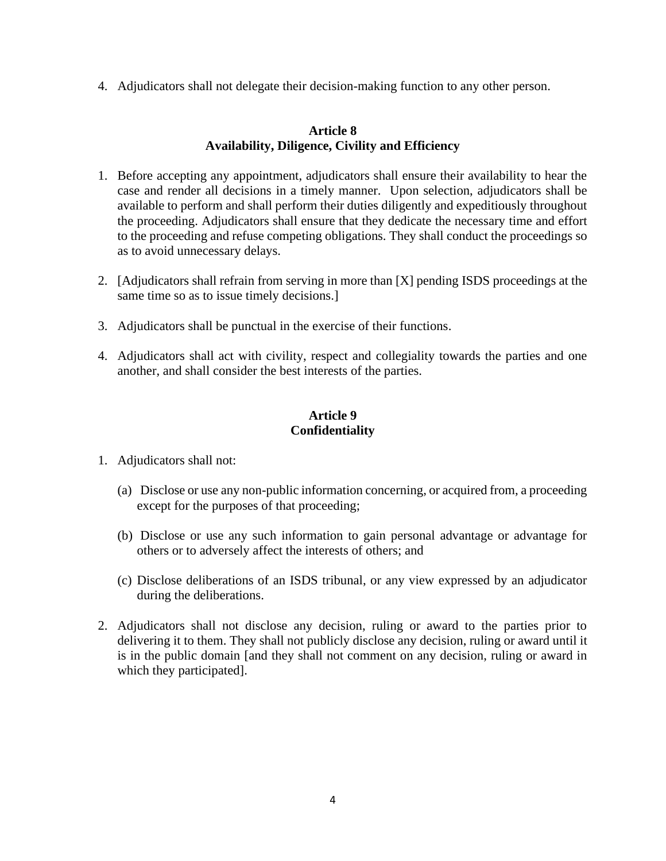4. Adjudicators shall not delegate their decision-making function to any other person.

### **Article 8 Availability, Diligence, Civility and Efficiency**

- 1. Before accepting any appointment, adjudicators shall ensure their availability to hear the case and render all decisions in a timely manner. Upon selection, adjudicators shall be available to perform and shall perform their duties diligently and expeditiously throughout the proceeding. Adjudicators shall ensure that they dedicate the necessary time and effort to the proceeding and refuse competing obligations. They shall conduct the proceedings so as to avoid unnecessary delays.
- 2. [Adjudicators shall refrain from serving in more than [X] pending ISDS proceedings at the same time so as to issue timely decisions.
- 3. Adjudicators shall be punctual in the exercise of their functions.
- 4. Adjudicators shall act with civility, respect and collegiality towards the parties and one another, and shall consider the best interests of the parties.

# **Article 9 Confidentiality**

- 1. Adjudicators shall not:
	- (a) Disclose or use any non-public information concerning, or acquired from, a proceeding except for the purposes of that proceeding;
	- (b) Disclose or use any such information to gain personal advantage or advantage for others or to adversely affect the interests of others; and
	- (c) Disclose deliberations of an ISDS tribunal, or any view expressed by an adjudicator during the deliberations.
- 2. Adjudicators shall not disclose any decision, ruling or award to the parties prior to delivering it to them. They shall not publicly disclose any decision, ruling or award until it is in the public domain [and they shall not comment on any decision, ruling or award in which they participated].